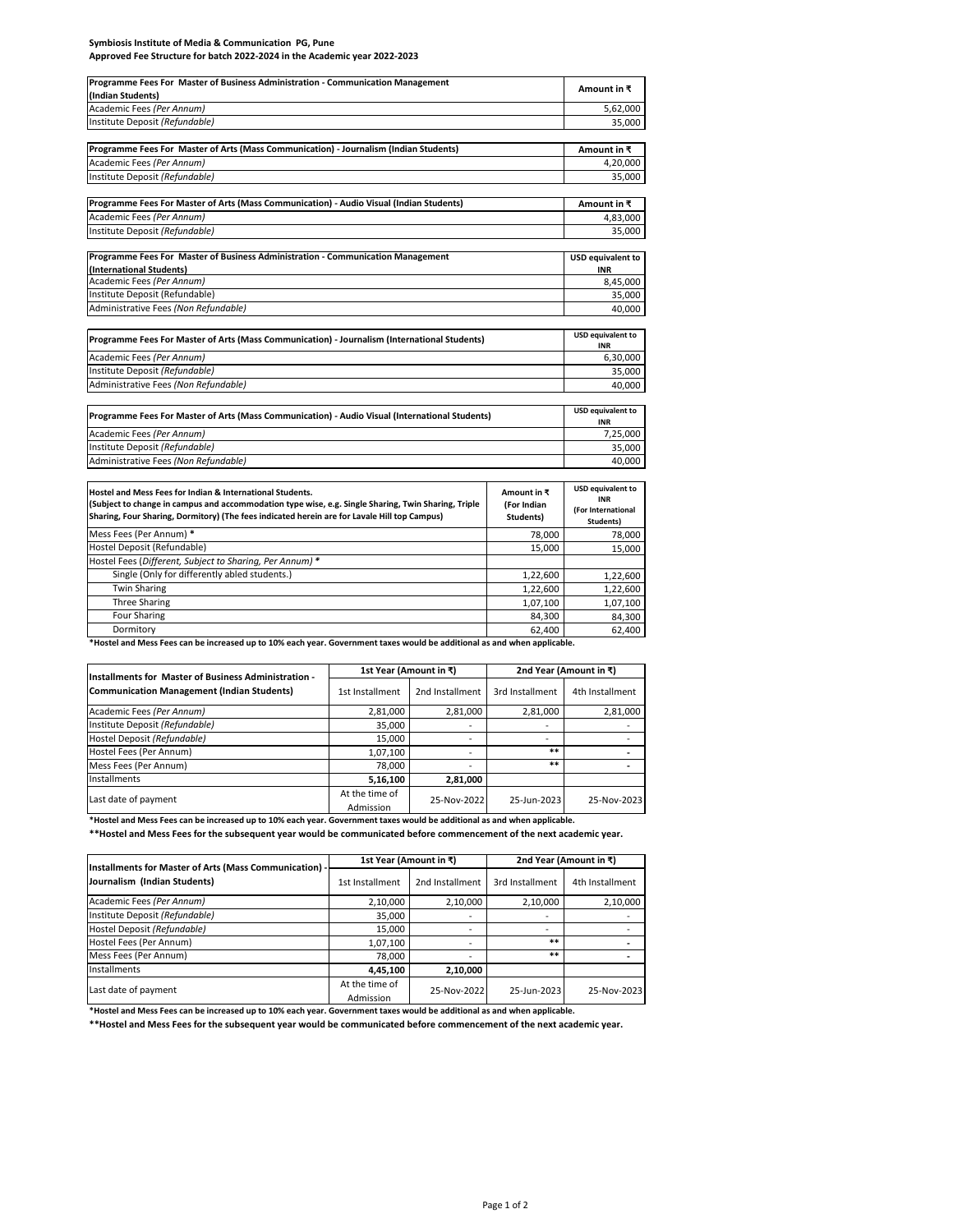## **Approved Fee Structure for batch 2022-2024 in the Academic year 2022-2023 Symbiosis Institute of Media & Communication PG, Pune**

| Programme Fees For Master of Business Administration - Communication Management                     |             | Amount in ₹                      |
|-----------------------------------------------------------------------------------------------------|-------------|----------------------------------|
| (Indian Students)<br>Academic Fees (Per Annum)                                                      |             | 5,62,000                         |
| Institute Deposit (Refundable)                                                                      |             |                                  |
|                                                                                                     |             | 35,000                           |
| Programme Fees For Master of Arts (Mass Communication) - Journalism (Indian Students)               |             | Amount in ₹                      |
| Academic Fees (Per Annum)                                                                           |             | 4,20,000                         |
| Institute Deposit (Refundable)                                                                      |             | 35,000                           |
|                                                                                                     |             |                                  |
| Programme Fees For Master of Arts (Mass Communication) - Audio Visual (Indian Students)             |             | Amount in ₹                      |
| Academic Fees (Per Annum)                                                                           |             | 4,83,000                         |
| Institute Deposit (Refundable)                                                                      |             | 35,000                           |
|                                                                                                     |             |                                  |
| Programme Fees For Master of Business Administration - Communication Management                     |             | <b>USD equivalent to</b>         |
| (International Students)                                                                            |             | <b>INR</b>                       |
| Academic Fees (Per Annum)                                                                           |             | 8,45,000                         |
| Institute Deposit (Refundable)                                                                      |             | 35,000                           |
| Administrative Fees (Non Refundable)                                                                |             | 40,000                           |
|                                                                                                     |             |                                  |
| Programme Fees For Master of Arts (Mass Communication) - Journalism (International Students)        |             | <b>USD equivalent to</b><br>INR  |
| Academic Fees (Per Annum)                                                                           |             | 6,30,000                         |
| Institute Deposit (Refundable)                                                                      |             | 35,000                           |
| Administrative Fees (Non Refundable)                                                                |             | 40,000                           |
|                                                                                                     |             |                                  |
| Programme Fees For Master of Arts (Mass Communication) - Audio Visual (International Students)      |             | USD equivalent to<br><b>INR</b>  |
| Academic Fees (Per Annum)                                                                           |             | 7,25,000                         |
| Institute Deposit (Refundable)                                                                      |             | 35,000                           |
| Administrative Fees (Non Refundable)                                                                |             | 40,000                           |
|                                                                                                     |             |                                  |
| Hostel and Mess Fees for Indian & International Students.                                           | Amount in ₹ | USD equivalent to                |
| (Subject to change in campus and accommodation type wise, e.g. Single Sharing, Twin Sharing, Triple | (For Indian | <b>INR</b><br>(For International |
| Sharing, Four Sharing, Dormitory) (The fees indicated herein are for Lavale Hill top Campus)        | Students)   | Students)                        |
| Mess Fees (Per Annum) *                                                                             | 78,000      | 78,000                           |
| Hostel Deposit (Refundable)                                                                         | 15,000      | 15,000                           |
| Hostel Fees (Different, Subject to Sharing, Per Annum) *                                            |             |                                  |
| Single (Only for differently abled students.)                                                       | 1,22,600    | 1,22,600                         |
| <b>Twin Sharing</b>                                                                                 | 1,22,600    | 1,22,600                         |
| <b>Three Sharing</b>                                                                                | 1,07,100    | 1,07,100                         |
| Four Sharing                                                                                        | 84,300      | 84,300                           |
| Dormitory                                                                                           | 62,400      | 62,400                           |

**\*Hostel and Mess Fees can be increased up to 10% each year. Government taxes would be additional as and when applicable.**

| <b>Installments for Master of Business Administration -</b> | 1st Year (Amount in ₹)      |                          | 2nd Year (Amount in ₹)   |                 |  |
|-------------------------------------------------------------|-----------------------------|--------------------------|--------------------------|-----------------|--|
| Communication Management (Indian Students)                  | 1st Installment             | 2nd Installment          | 3rd Installment          | 4th Installment |  |
| Academic Fees (Per Annum)                                   | 2,81,000                    | 2,81,000                 | 2,81,000                 | 2,81,000        |  |
| Institute Deposit (Refundable)                              | 35,000                      |                          | -                        |                 |  |
| Hostel Deposit (Refundable)                                 | 15,000                      | $\overline{\phantom{a}}$ | $\overline{\phantom{a}}$ |                 |  |
| Hostel Fees (Per Annum)                                     | 1,07,100                    | -                        | **                       |                 |  |
| Mess Fees (Per Annum)                                       | 78.000                      |                          | **                       |                 |  |
| Installments                                                | 5,16,100                    | 2,81,000                 |                          |                 |  |
| Last date of payment                                        | At the time of<br>Admission | 25-Nov-2022              | 25-Jun-2023              | 25-Nov-2023     |  |

**\*Hostel and Mess Fees can be increased up to 10% each year. Government taxes would be additional as and when applicable.**

**\*\*Hostel and Mess Fees for the subsequent year would be communicated before commencement of the next academic year.**

|                                                                                        | 1st Year (Amount in ₹)      |                          | 2nd Year (Amount in ₹) |                 |  |
|----------------------------------------------------------------------------------------|-----------------------------|--------------------------|------------------------|-----------------|--|
| Installments for Master of Arts (Mass Communication) -<br>Journalism (Indian Students) | 1st Installment             | 2nd Installment          | 3rd Installment        | 4th Installment |  |
| Academic Fees (Per Annum)                                                              | 2,10,000                    | 2,10,000                 | 2,10,000               | 2,10,000        |  |
| Institute Deposit (Refundable)                                                         | 35,000                      |                          | -                      |                 |  |
| Hostel Deposit (Refundable)                                                            | 15,000                      | $\overline{\phantom{0}}$ | -                      |                 |  |
| Hostel Fees (Per Annum)                                                                | 1,07,100                    |                          | **                     |                 |  |
| Mess Fees (Per Annum)                                                                  | 78.000                      |                          | **                     |                 |  |
| Installments                                                                           | 4,45,100                    | 2,10,000                 |                        |                 |  |
| Last date of payment                                                                   | At the time of<br>Admission | 25-Nov-2022              | 25-Jun-2023            | 25-Nov-2023     |  |

Admission **\*Hostel and Mess Fees can be increased up to 10% each year. Government taxes would be additional as and when applicable.**

**\*\*Hostel and Mess Fees for the subsequent year would be communicated before commencement of the next academic year.**